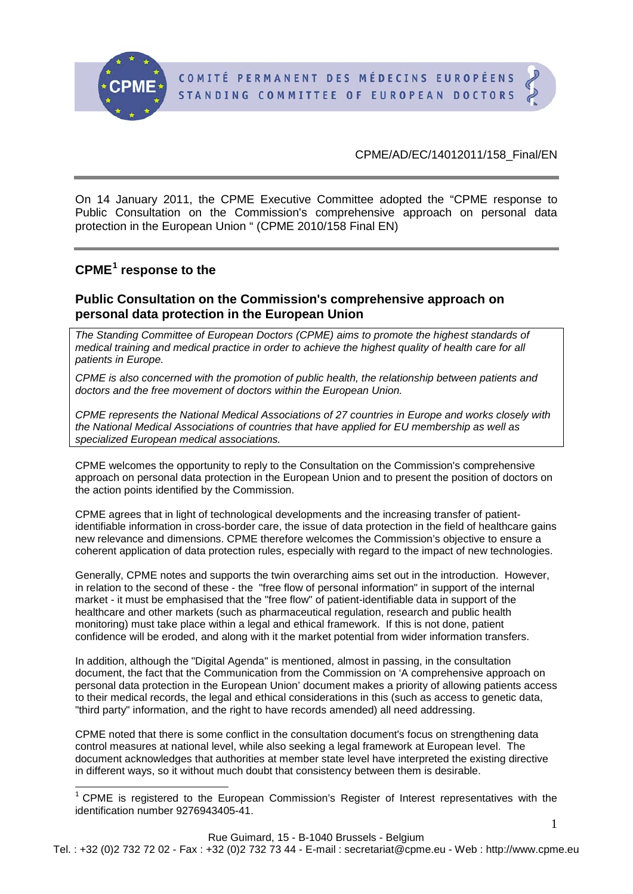

1

On 14 January 2011, the CPME Executive Committee adopted the "CPME response to Public Consultation on the Commission's comprehensive approach on personal data protection in the European Union " (CPME 2010/158 Final EN)

## **CPME[1](#page-0-0) response to the**

## **Public Consultation on the Commission's comprehensive approach on personal data protection in the European Union**

*The Standing Committee of European Doctors (CPME) aims to promote the highest standards of medical training and medical practice in order to achieve the highest quality of health care for all patients in Europe.*

*CPME is also concerned with the promotion of public health, the relationship between patients and doctors and the free movement of doctors within the European Union.*

*CPME represents the National Medical Associations of 27 countries in Europe and works closely with the National Medical Associations of countries that have applied for EU membership as well as specialized European medical associations.*

CPME welcomes the opportunity to reply to the Consultation on the Commission's comprehensive approach on personal data protection in the European Union and to present the position of doctors on the action points identified by the Commission.

CPME agrees that in light of technological developments and the increasing transfer of patientidentifiable information in cross-border care, the issue of data protection in the field of healthcare gains new relevance and dimensions. CPME therefore welcomes the Commission's objective to ensure a coherent application of data protection rules, especially with regard to the impact of new technologies.

Generally, CPME notes and supports the twin overarching aims set out in the introduction. However, in relation to the second of these - the "free flow of personal information" in support of the internal market - it must be emphasised that the "free flow" of patient-identifiable data in support of the healthcare and other markets (such as pharmaceutical regulation, research and public health monitoring) must take place within a legal and ethical framework. If this is not done, patient confidence will be eroded, and along with it the market potential from wider information transfers.

In addition, although the "Digital Agenda" is mentioned, almost in passing, in the consultation document, the fact that the Communication from the Commission on 'A comprehensive approach on personal data protection in the European Union' document makes a priority of allowing patients access to their medical records, the legal and ethical considerations in this (such as access to genetic data, "third party" information, and the right to have records amended) all need addressing.

CPME noted that there is some conflict in the consultation document's focus on strengthening data control measures at national level, while also seeking a legal framework at European level. The document acknowledges that authorities at member state level have interpreted the existing directive in different ways, so it without much doubt that consistency between them is desirable.

<span id="page-0-0"></span> $1$  CPME is registered to the European Commission's Register of Interest representatives with the identification number 9276943405-41.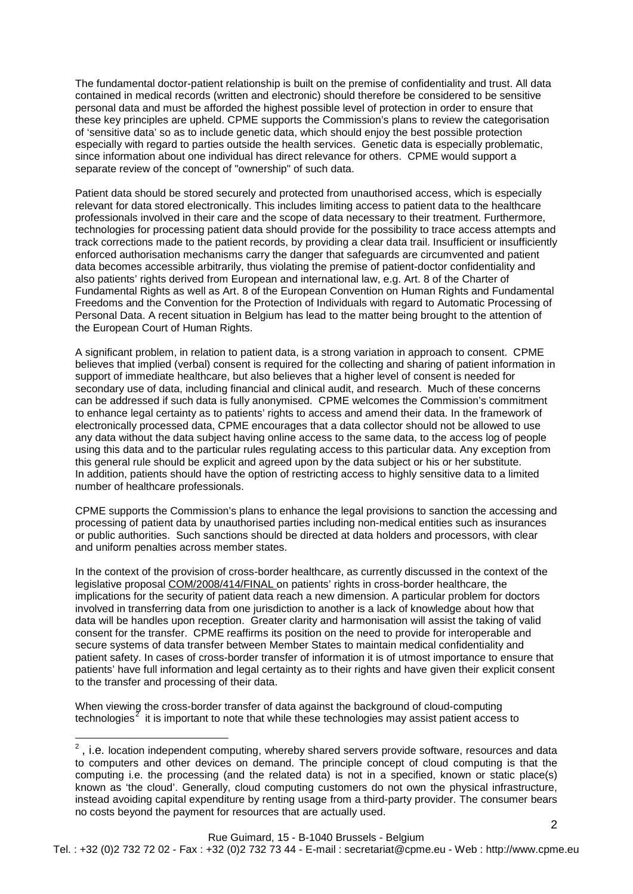The fundamental doctor-patient relationship is built on the premise of confidentiality and trust. All data contained in medical records (written and electronic) should therefore be considered to be sensitive personal data and must be afforded the highest possible level of protection in order to ensure that these key principles are upheld. CPME supports the Commission's plans to review the categorisation of 'sensitive data' so as to include genetic data, which should enjoy the best possible protection especially with regard to parties outside the health services. Genetic data is especially problematic, since information about one individual has direct relevance for others. CPME would support a separate review of the concept of "ownership" of such data.

Patient data should be stored securely and protected from unauthorised access, which is especially relevant for data stored electronically. This includes limiting access to patient data to the healthcare professionals involved in their care and the scope of data necessary to their treatment. Furthermore, technologies for processing patient data should provide for the possibility to trace access attempts and track corrections made to the patient records, by providing a clear data trail. Insufficient or insufficiently enforced authorisation mechanisms carry the danger that safeguards are circumvented and patient data becomes accessible arbitrarily, thus violating the premise of patient-doctor confidentiality and also patients' rights derived from European and international law, e.g. Art. 8 of the Charter of Fundamental Rights as well as Art. 8 of the European Convention on Human Rights and Fundamental Freedoms and the Convention for the Protection of Individuals with regard to Automatic Processing of Personal Data. A recent situation in Belgium has lead to the matter being brought to the attention of the European Court of Human Rights.

A significant problem, in relation to patient data, is a strong variation in approach to consent. CPME believes that implied (verbal) consent is required for the collecting and sharing of patient information in support of immediate healthcare, but also believes that a higher level of consent is needed for secondary use of data, including financial and clinical audit, and research. Much of these concerns can be addressed if such data is fully anonymised. CPME welcomes the Commission's commitment to enhance legal certainty as to patients' rights to access and amend their data. In the framework of electronically processed data, CPME encourages that a data collector should not be allowed to use any data without the data subject having online access to the same data, to the access log of people using this data and to the particular rules regulating access to this particular data. Any exception from this general rule should be explicit and agreed upon by the data subject or his or her substitute. In addition, patients should have the option of restricting access to highly sensitive data to a limited number of healthcare professionals.

CPME supports the Commission's plans to enhance the legal provisions to sanction the accessing and processing of patient data by unauthorised parties including non-medical entities such as insurances or public authorities. Such sanctions should be directed at data holders and processors, with clear and uniform penalties across member states.

In the context of the provision of cross-border healthcare, as currently discussed in the context of the legislative proposal COM/2008/414/FINAL on patients' rights in cross-border healthcare, the implications for the security of patient data reach a new dimension. A particular problem for doctors involved in transferring data from one jurisdiction to another is a lack of knowledge about how that data will be handles upon reception. Greater clarity and harmonisation will assist the taking of valid consent for the transfer. CPME reaffirms its position on the need to provide for interoperable and secure systems of data transfer between Member States to maintain medical confidentiality and patient safety. In cases of cross-border transfer of information it is of utmost importance to ensure that patients' have full information and legal certainty as to their rights and have given their explicit consent to the transfer and processing of their data.

When viewing the cross-border transfer of data against the background of cloud-computing technologies<sup>[2](#page-1-0)</sup> it is important to note that while these technologies may assist patient access to

-

2

<span id="page-1-0"></span> $2$ , i.e. location independent computing, whereby shared servers provide software, resources and data to computers and other devices on demand. The principle concept of cloud computing is that the computing i.e. the processing (and the related data) is not in a specified, known or static place(s) known as 'the cloud'. Generally, cloud computing customers do not own the physical infrastructure, instead avoiding capital expenditure by renting usage from a third-party provider. The consumer bears no costs beyond the payment for resources that are actually used.